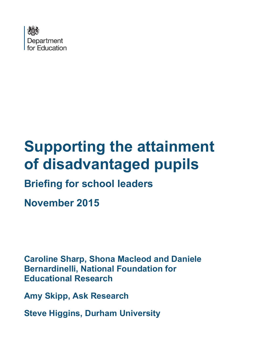

# **Supporting the attainment of disadvantaged pupils**

# **Briefing for school leaders**

**November 2015**

**Caroline Sharp, Shona Macleod and Daniele Bernardinelli, National Foundation for Educational Research**

**Amy Skipp, Ask Research**

**Steve Higgins, Durham University**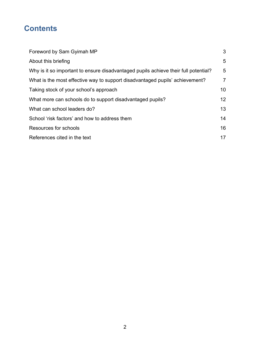# **Contents**

| Foreword by Sam Gyimah MP                                                           | 3              |
|-------------------------------------------------------------------------------------|----------------|
| About this briefing                                                                 | 5              |
| Why is it so important to ensure disadvantaged pupils achieve their full potential? | 5              |
| What is the most effective way to support disadvantaged pupils' achievement?        | $\overline{7}$ |
| Taking stock of your school's approach                                              | 10             |
| What more can schools do to support disadvantaged pupils?                           | 12             |
| What can school leaders do?                                                         | 13             |
| School 'risk factors' and how to address them                                       | 14             |
| Resources for schools                                                               | 16             |
| References cited in the text                                                        | 17             |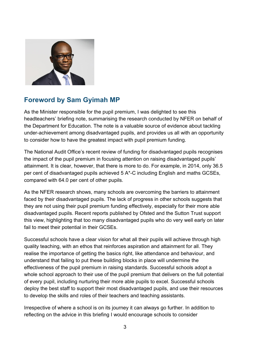

# <span id="page-2-0"></span>**Foreword by Sam Gyimah MP**

As the Minister responsible for the pupil premium, I was delighted to see this headteachers' briefing note, summarising the research conducted by NFER on behalf of the Department for Education. The note is a valuable source of evidence about tackling under-achievement among disadvantaged pupils, and provides us all with an opportunity to consider how to have the greatest impact with pupil premium funding.

The National Audit Office's recent review of funding for disadvantaged pupils recognises the impact of the pupil premium in focusing attention on raising disadvantaged pupils' attainment. It is clear, however, that there is more to do. For example, in 2014, only 36.5 per cent of disadvantaged pupils achieved 5 A\*-C including English and maths GCSEs, compared with 64.0 per cent of other pupils.

As the NFER research shows, many schools are overcoming the barriers to attainment faced by their disadvantaged pupils. The lack of progress in other schools suggests that they are not using their pupil premium funding effectively, especially for their more able disadvantaged pupils. Recent reports published by Ofsted and the Sutton Trust support this view, highlighting that too many disadvantaged pupils who do very well early on later fail to meet their potential in their GCSEs.

Successful schools have a clear vision for what all their pupils will achieve through high quality teaching, with an ethos that reinforces aspiration and attainment for all. They realise the importance of getting the basics right, like attendance and behaviour, and understand that failing to put these building blocks in place will undermine the effectiveness of the pupil premium in raising standards. Successful schools adopt a whole school approach to their use of the pupil premium that delivers on the full potential of every pupil, including nurturing their more able pupils to excel. Successful schools deploy the best staff to support their most disadvantaged pupils, and use their resources to develop the skills and roles of their teachers and teaching assistants.

Irrespective of where a school is on its journey it can always go further. In addition to reflecting on the advice in this briefing I would encourage schools to consider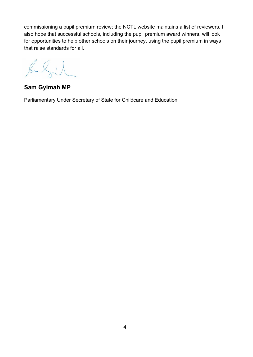commissioning a pupil premium review; the NCTL website maintains a list of reviewers. I also hope that successful schools, including the pupil premium award winners, will look for opportunities to help other schools on their journey, using the pupil premium in ways that raise standards for all.

Julia

**Sam Gyimah MP** 

Parliamentary Under Secretary of State for Childcare and Education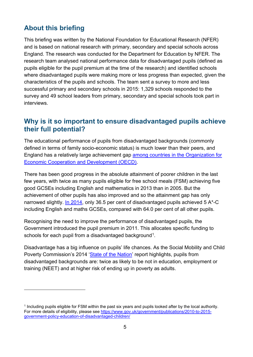# <span id="page-4-0"></span>**About this briefing**

 $\overline{a}$ 

This briefing was written by the National Foundation for Educational Research (NFER) and is based on national research with primary, secondary and special schools across England. The research was conducted for the Department for Education by NFER. The research team analysed national performance data for disadvantaged pupils (defined as pupils eligible for the pupil premium at the time of the research) and identified schools where disadvantaged pupils were making more or less progress than expected, given the characteristics of the pupils and schools. The team sent a survey to more and less successful primary and secondary schools in 2015: 1,329 schools responded to the survey and 49 school leaders from primary, secondary and special schools took part in interviews.

## <span id="page-4-1"></span>**Why is it so important to ensure disadvantaged pupils achieve their full potential?**

The educational performance of pupils from disadvantaged backgrounds (commonly defined in terms of family socio-economic status) is much lower than their peers, and England has a relatively large achievement gap [among countries in the Organization for](http://www.oecd.org/education/school/50293148.pdf)  [Economic Cooperation and Development \(OECD\).](http://www.oecd.org/education/school/50293148.pdf)

There has been good progress in the absolute attainment of poorer children in the last few years, with twice as many pupils eligible for free school meals (FSM) achieving five good GCSEs including English and mathematics in 2013 than in 2005. But the achievement of other pupils has also improved and so the attainment gap has only narrowed slightly. [In 2014,](https://www.gov.uk/government/uploads/system/uploads/attachment_data/file/399005/SFR06_2015_Text.pdf) only 36.5 per cent of disadvantaged pupils achieved 5 A\*-C including English and maths GCSEs, compared with 64.0 per cent of all other pupils.

Recognising the need to improve the performance of disadvantaged pupils, the Government introduced the pupil premium in 2011. This allocates specific funding to schools for each pupil from a disadvantaged background<sup>1</sup>.

Disadvantage has a big influence on pupils' life chances. As the Social Mobility and Child Poverty Commission's 2014 ['State of the Nation'](https://www.gov.uk/government/uploads/system/uploads/attachment_data/file/365765/State_of_Nation_2014_Main_Report.pdf) report highlights, pupils from disadvantaged backgrounds are: twice as likely to be not in education, employment or training (NEET) and at higher risk of ending up in poverty as adults.

<span id="page-4-2"></span><sup>1</sup> Including pupils eligible for FSM within the past six years and pupils looked after by the local authority. For more details of eligibility, please see [https://www.gov.uk/government/publications/2010-to-2015](https://www.gov.uk/government/publications/2010-to-2015-government-policy-education-of-disadvantaged-children/) [government-policy-education-of-disadvantaged-children/](https://www.gov.uk/government/publications/2010-to-2015-government-policy-education-of-disadvantaged-children/)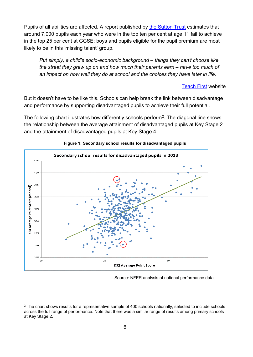Pupils of all abilities are affected. A report published by [the Sutton Trust](http://www.suttontrust.com/researcharchive/missing-talent/) estimates that around 7,000 pupils each year who were in the top ten per cent at age 11 fail to achieve in the top 25 per cent at GCSE: boys and pupils eligible for the pupil premium are most likely to be in this 'missing talent' group.

*Put simply, a child's socio-economic background – things they can't choose like the street they grew up on and how much their parents earn – have too much of an impact on how well they do at school and the choices they have later in life.* 

#### [Teach First](http://www.teachfirst.org.uk/why-we-exist) website

But it doesn't have to be like this. Schools can help break the link between disadvantage and performance by supporting disadvantaged pupils to achieve their full potential.

The following chart illustrates how differently schools perform<sup>2</sup>. The diagonal line shows the relationship between the average attainment of disadvantaged pupils at Key Stage 2 and the attainment of disadvantaged pupils at Key Stage 4.



#### **Figure 1: Secondary school results for disadvantaged pupils**

 $\overline{a}$ 

Source: NFER analysis of national performance data

<span id="page-5-0"></span><sup>&</sup>lt;sup>2</sup> The chart shows results for a representative sample of 400 schools nationally, selected to include schools across the full range of performance. Note that there was a similar range of results among primary schools at Key Stage 2.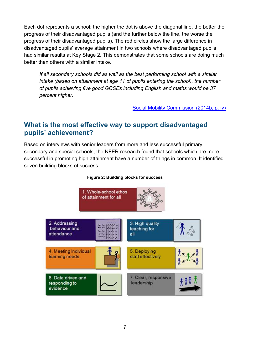Each dot represents a school: the higher the dot is above the diagonal line, the better the progress of their disadvantaged pupils (and the further below the line, the worse the progress of their disadvantaged pupils). The red circles show the large difference in disadvantaged pupils' average attainment in two schools where disadvantaged pupils had similar results at Key Stage 2. This demonstrates that some schools are doing much better than others with a similar intake.

*If all secondary schools did as well as the best performing school with a similar intake (based on attainment at age 11 of pupils entering the school), the number of pupils achieving five good GCSEs including English and maths would be 37 percent higher.*

[Social Mobility Commission \(2014b, p. iv\)](https://www.gov.uk/government/uploads/system/uploads/attachment_data/file/360753/Cracking_the_code_Final.pdf)

## <span id="page-6-0"></span>**What is the most effective way to support disadvantaged pupils' achievement?**

Based on interviews with senior leaders from more and less successful primary, secondary and special schools, the NFER research found that schools which are more successful in promoting high attainment have a number of things in common. It identified seven building blocks of success.



#### **Figure 2: Building blocks for success**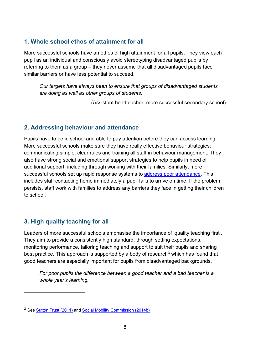#### **1. Whole school ethos of attainment for all**

More successful schools have an ethos of high attainment for all pupils. They view each pupil as an individual and consciously avoid stereotyping disadvantaged pupils by referring to them as a group – they never assume that all disadvantaged pupils face similar barriers or have less potential to succeed.

*Our targets have always been to ensure that groups of disadvantaged students are doing as well as other groups of students.* 

(Assistant headteacher, more successful secondary school)

#### **2. Addressing behaviour and attendance**

Pupils have to be in school and able to pay attention before they can access learning. More successful schools make sure they have really effective behaviour strategies: communicating simple, clear rules and training all staff in behaviour management. They also have strong social and emotional support strategies to help pupils in need of additional support, including through working with their families. Similarly, more successful schools set up rapid response systems to [address poor attendance.](https://www.gov.uk/government/uploads/system/uploads/attachment_data/file/180772/DFE-00036-2012_improving_attendance_at_school.pdf) This includes staff contacting home immediately a pupil fails to arrive on time. If the problem persists, staff work with families to address any barriers they face in getting their children to school.

### **3. High quality teaching for all**

 $\overline{a}$ 

Leaders of more successful schools emphasise the importance of 'quality teaching first'. They aim to provide a consistently high standard, through setting expectations, monitoring performance, tailoring teaching and support to suit their pupils and sharing best practice. This approach is supported by a body of research<sup>[3](#page-7-0)</sup> which has found that good teachers are especially important for pupils from disadvantaged backgrounds.

*For poor pupils the difference between a good teacher and a bad teacher is a whole year's learning.* 

<span id="page-7-0"></span><sup>&</sup>lt;sup>3</sup> See [Sutton Trust \(2011\)](http://www.suttontrust.com/wp-content/uploads/2011/09/2teachers-impact-report-final.pdf) and [Social Mobility Commission \(2014b\)](https://www.gov.uk/government/uploads/system/uploads/attachment_data/file/360753/Cracking_the_code_Final.pdf)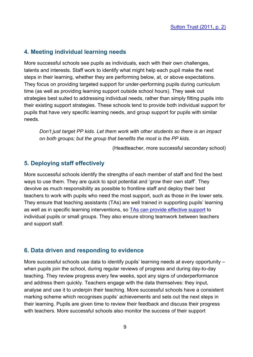#### **4. Meeting individual learning needs**

More successful schools see pupils as individuals, each with their own challenges, talents and interests. Staff work to identify what might help each pupil make the next steps in their learning, whether they are performing below, at, or above expectations. They focus on providing targeted support for under-performing pupils during curriculum time (as well as providing learning support outside school hours). They seek out strategies best suited to addressing individual needs, rather than simply fitting pupils into their existing support strategies. These schools tend to provide both individual support for pupils that have very specific learning needs, and group support for pupils with similar needs.

*Don't just target PP kids. Let them work with other students so there is an impact on both groups; but the group that benefits the most is the PP kids.*

(Headteacher, more successful secondary school)

#### **5. Deploying staff effectively**

More successful schools identify the strengths of each member of staff and find the best ways to use them. They are quick to spot potential and 'grow their own staff'. They devolve as much responsibility as possible to frontline staff and deploy their best teachers to work with pupils who need the most support, such as those in the lower sets. They ensure that teaching assistants (TAs) are well trained in supporting pupils' learning as well as in specific learning interventions, so [TAs can provide effective support](https://educationendowmentfoundation.org.uk/uploads/pdf/TA_Guidance_Report_Interactive.pdf) to individual pupils or small groups. They also ensure strong teamwork between teachers and support staff.

#### **6. Data driven and responding to evidence**

More successful schools use data to identify pupils' learning needs at every opportunity – when pupils join the school, during regular reviews of progress and during day-to-day teaching. They review progress every few weeks, spot any signs of underperformance and address them quickly. Teachers engage with the data themselves: they input, analyse and use it to underpin their teaching. More successful schools have a consistent marking scheme which recognises pupils' achievements and sets out the next steps in their learning. Pupils are given time to review their feedback and discuss their progress with teachers. More successful schools also monitor the success of their support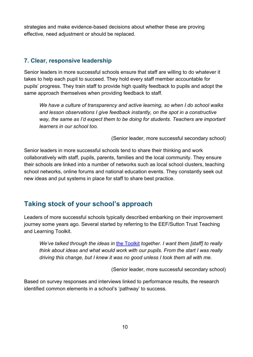strategies and make evidence-based decisions about whether these are proving effective, need adjustment or should be replaced.

#### **7. Clear, responsive leadership**

Senior leaders in more successful schools ensure that staff are willing to do whatever it takes to help each pupil to succeed. They hold every staff member accountable for pupils' progress. They train staff to provide high quality feedback to pupils and adopt the same approach themselves when providing feedback to staff.

*We have a culture of transparency and active learning, so when I do school walks and lesson observations I give feedback instantly, on the spot in a constructive way, the same as I'd expect them to be doing for students. Teachers are important learners in our school too.* 

(Senior leader, more successful secondary school)

Senior leaders in more successful schools tend to share their thinking and work collaboratively with staff, pupils, parents, families and the local community. They ensure their schools are linked into a number of networks such as local school clusters, teaching school networks, online forums and national education events. They constantly seek out new ideas and put systems in place for staff to share best practice.

# <span id="page-9-0"></span>**Taking stock of your school's approach**

Leaders of more successful schools typically described embarking on their improvement journey some years ago. Several started by referring to the EEF/Sutton Trust Teaching and Learning Toolkit.

*We've talked through the ideas in* [the Toolkit](https://educationendowmentfoundation.org.uk/toolkit/toolkit-a-z/arts-participation/) *together. I want them [staff] to really think about ideas and what would work with our pupils. From the start I was really driving this change, but I knew it was no good unless I took them all with me.*

(Senior leader, more successful secondary school)

Based on survey responses and interviews linked to performance results, the research identified common elements in a school's 'pathway' to success.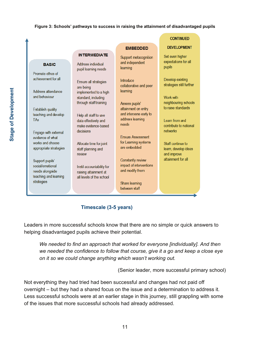#### **Figure 3: Schools' pathways to success in raising the attainment of disadvantaged pupils**

| BASIC                  | Ad  |
|------------------------|-----|
|                        | pu  |
| Promote ethos of       |     |
| achievement for all    | Fn  |
|                        | ar  |
| Address attendance     | im  |
| and behaviour          | sta |
|                        | thı |
| Establish quality      |     |
| teaching and develop   | He  |
| TAs                    | da  |
|                        | m   |
|                        | de  |
| Engage with external   |     |
| evidence of what       |     |
| works and choose       | All |
| appropriate strategies | sta |
|                        | re  |
| Support pupils'        |     |

social/emotional needs alongside teaching and leaming strategies

## **INTERMEDIATE**

Idress individual pil learning needs

sure all strategies e beina plemented to a high andard, including ough staff training

lp all staff to use ta effectively and ake evidence-based cisions

locate time for joint aff planning and view

Instil accountability for raising attainment at all levels of the school

Support metacognition and independent learning

**EMBEDDED** 

Introduce collaborative and peer learning

Assess pupils' attainment on entry and intervene early to address learning needs

**Ensure Assessment** for Learning systems are embedded

Constantly review impact of interventions and modify them

Share learning between staff

#### **CONTINUED**

#### **DEVELOPMENT**

Set even higher expectations for all pupils

Develop existing strategies still further

Work with neighbouring schools to raise standards

Learn from and contribute to national networks

Staff continue to learn, develop ideas and improve attainment for all

**Timescale (3-5 years)** 

Leaders in more successful schools know that there are no simple or quick answers to helping disadvantaged pupils achieve their potential.

*We needed to find an approach that worked for everyone [individually]. And then we needed the confidence to follow that course, give it a go and keep a close eye on it so we could change anything which wasn't working out.* 

(Senior leader, more successful primary school)

Not everything they had tried had been successful and changes had not paid off overnight – but they had a shared focus on the issue and a determination to address it. Less successful schools were at an earlier stage in this journey, still grappling with some of the issues that more successful schools had already addressed.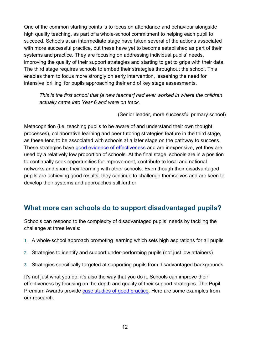One of the common starting points is to focus on attendance and behaviour alongside high quality teaching, as part of a whole-school commitment to helping each pupil to succeed. Schools at an intermediate stage have taken several of the actions associated with more successful practice, but these have yet to become established as part of their systems and practice. They are focusing on addressing individual pupils' needs, improving the quality of their support strategies and starting to get to grips with their data. The third stage requires schools to embed their strategies throughout the school. This enables them to focus more strongly on early intervention, lessening the need for intensive 'drilling' for pupils approaching their end of key stage assessments.

*This is the first school that [a new teacher] had ever worked in where the children actually came into Year 6 and were on track.* 

(Senior leader, more successful primary school)

Metacognition (i.e. teaching pupils to be aware of and understand their own thought processes), collaborative learning and peer tutoring strategies feature in the third stage, as these tend to be associated with schools at a later stage on the pathway to success. These strategies have [good evidence of effectiveness](https://educationendowmentfoundation.org.uk/toolkit/toolkit-a-z/) and are inexpensive, yet they are used by a relatively low proportion of schools. At the final stage, schools are in a position to continually seek opportunities for improvement, contribute to local and national networks and share their learning with other schools. Even though their disadvantaged pupils are achieving good results, they continue to challenge themselves and are keen to develop their systems and approaches still further.

# <span id="page-11-0"></span>**What more can schools do to support disadvantaged pupils?**

Schools can respond to the complexity of disadvantaged pupils' needs by tackling the challenge at three levels:

- 1. A whole-school approach promoting learning which sets high aspirations for all pupils
- 2. Strategies to identify and support under-performing pupils (not just low attainers)
- 3. Strategies specifically targeted at supporting pupils from disadvantaged backgrounds.

It's not just what you do; it's also the way that you do it. Schools can improve their effectiveness by focusing on the depth and quality of their support strategies. The Pupil Premium Awards provide [case studies of good practice.](http://www.pupilpremiumawards.co.uk/ppawards2015/2013) Here are some examples from our research.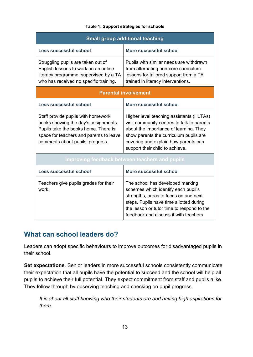#### **Table 1: Support strategies for schools**

| <b>Small group additional teaching</b>                                                                                                                                                            |                                                                                                                                                                                                                                                       |  |  |
|---------------------------------------------------------------------------------------------------------------------------------------------------------------------------------------------------|-------------------------------------------------------------------------------------------------------------------------------------------------------------------------------------------------------------------------------------------------------|--|--|
| Less successful school                                                                                                                                                                            | More successful school                                                                                                                                                                                                                                |  |  |
| Struggling pupils are taken out of<br>English lessons to work on an online<br>literacy programme, supervised by a TA<br>who has received no specific training.                                    | Pupils with similar needs are withdrawn<br>from alternating non-core curriculum<br>lessons for tailored support from a TA<br>trained in literacy interventions.                                                                                       |  |  |
| <b>Parental involvement</b>                                                                                                                                                                       |                                                                                                                                                                                                                                                       |  |  |
| <b>Less successful school</b>                                                                                                                                                                     | More successful school                                                                                                                                                                                                                                |  |  |
| Staff provide pupils with homework<br>books showing the day's assignments.<br>Pupils take the books home. There is<br>space for teachers and parents to leave<br>comments about pupils' progress. | Higher level teaching assistants (HLTAs)<br>visit community centres to talk to parents<br>about the importance of learning. They<br>show parents the curriculum pupils are<br>covering and explain how parents can<br>support their child to achieve. |  |  |
| Improving feedback between teachers and pupils                                                                                                                                                    |                                                                                                                                                                                                                                                       |  |  |
| <b>Less successful school</b>                                                                                                                                                                     | More successful school                                                                                                                                                                                                                                |  |  |
| Teachers give pupils grades for their<br>work.                                                                                                                                                    | The school has developed marking<br>schemes which identify each pupil's<br>strengths, areas to focus on and next<br>steps. Pupils have time allotted during<br>the lesson or tutor time to respond to the<br>feedback and discuss it with teachers.   |  |  |

## <span id="page-12-0"></span>**What can school leaders do?**

Leaders can adopt specific behaviours to improve outcomes for disadvantaged pupils in their school.

**Set expectations**. Senior leaders in more successful schools consistently communicate their expectation that all pupils have the potential to succeed and the school will help all pupils to achieve their full potential. They expect commitment from staff and pupils alike. They follow through by observing teaching and checking on pupil progress.

*It is about all staff knowing who their students are and having high aspirations for them*.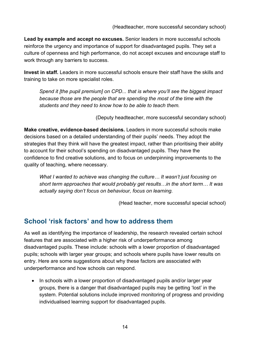**Lead by example and accept no excuses.** Senior leaders in more successful schools reinforce the urgency and importance of support for disadvantaged pupils. They set a culture of openness and high performance, do not accept excuses and encourage staff to work through any barriers to success.

**Invest in staff.** Leaders in more successful schools ensure their staff have the skills and training to take on more specialist roles.

*Spend it [the pupil premium] on CPD... that is where you'll see the biggest impact because those are the people that are spending the most of the time with the students and they need to know how to be able to teach them.* 

(Deputy headteacher, more successful secondary school)

**Make creative, evidence-based decisions.** Leaders in more successful schools make decisions based on a detailed understanding of their pupils' needs. They adopt the strategies that they think will have the greatest impact, rather than prioritising their ability to account for their school's spending on disadvantaged pupils. They have the confidence to find creative solutions, and to focus on underpinning improvements to the quality of teaching, where necessary.

*What I wanted to achieve was changing the culture… It wasn't just focusing on short term approaches that would probably get results…in the short term… It was actually saying don't focus on behaviour, focus on learning.*

(Head teacher, more successful special school)

# <span id="page-13-0"></span>**School 'risk factors' and how to address them**

As well as identifying the importance of leadership, the research revealed certain school features that are associated with a higher risk of underperformance among disadvantaged pupils. These include: schools with a lower proportion of disadvantaged pupils; schools with larger year groups; and schools where pupils have lower results on entry. Here are some suggestions about why these factors are associated with underperformance and how schools can respond.

• In schools with a lower proportion of disadvantaged pupils and/or larger year groups, there is a danger that disadvantaged pupils may be getting 'lost' in the system. Potential solutions include improved monitoring of progress and providing individualised learning support for disadvantaged pupils.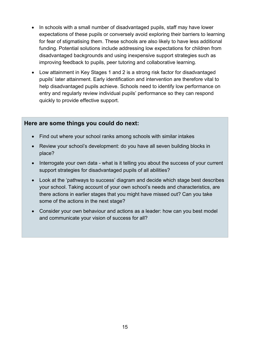- In schools with a small number of disadvantaged pupils, staff may have lower expectations of these pupils or conversely avoid exploring their barriers to learning for fear of stigmatising them. These schools are also likely to have less additional funding. Potential solutions include addressing low expectations for children from disadvantaged backgrounds and using inexpensive support strategies such as improving feedback to pupils, peer tutoring and collaborative learning.
- Low attainment in Key Stages 1 and 2 is a strong risk factor for disadvantaged pupils' later attainment. Early identification and intervention are therefore vital to help disadvantaged pupils achieve. Schools need to identify low performance on entry and regularly review individual pupils' performance so they can respond quickly to provide effective support.

#### **Here are some things you could do next:**

- Find out where your school ranks among schools with similar intakes
- Review your school's development: do you have all seven building blocks in place?
- Interrogate your own data what is it telling you about the success of your current support strategies for disadvantaged pupils of all abilities?
- Look at the 'pathways to success' diagram and decide which stage best describes your school. Taking account of your own school's needs and characteristics, are there actions in earlier stages that you might have missed out? Can you take some of the actions in the next stage?
- Consider your own behaviour and actions as a leader: how can you best model and communicate your vision of success for all?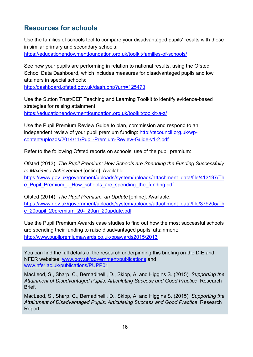# <span id="page-15-0"></span>**Resources for schools**

Use the families of schools tool to compare your disadvantaged pupils' results with those in similar primary and secondary schools: <https://educationendowmentfoundation.org.uk/toolkit/families-of-schools/>

See how your pupils are performing in relation to national results, using the Ofsted School Data Dashboard, which includes measures for disadvantaged pupils and low attainers in special schools:

<http://dashboard.ofsted.gov.uk/dash.php?urn=125473>

Use the Sutton Trust/EEF Teaching and Learning Toolkit to identify evidence-based strategies for raising attainment: <https://educationendowmentfoundation.org.uk/toolkit/toolkit-a-z/>

Use the Pupil Premium Review Guide to plan, commission and respond to an independent review of your pupil premium funding: [http://tscouncil.org.uk/wp](http://tscouncil.org.uk/wp-content/uploads/2014/11/Pupil-Premium-Review-Guide-v1-2.pdf)[content/uploads/2014/11/Pupil-Premium-Review-Guide-v1-2.pdf](http://tscouncil.org.uk/wp-content/uploads/2014/11/Pupil-Premium-Review-Guide-v1-2.pdf)

Refer to the following Ofsted reports on schools' use of the pupil premium:

Ofsted (2013). *The Pupil Premium: How Schools are Spending the Funding Successfully to Maximise Achievement* [online]. Available:

[https://www.gov.uk/government/uploads/system/uploads/attachment\\_data/file/413197/Th](https://www.gov.uk/government/uploads/system/uploads/attachment_data/file/413197/The_Pupil_Premium_-_How_schools_are_spending_the_funding.pdf) e Pupil Premium - How schools are spending the funding.pdf

Ofsted (2014). *The Pupil Premium: an Update* [online]. Available: [https://www.gov.uk/government/uploads/system/uploads/attachment\\_data/file/379205/Th](https://www.gov.uk/government/uploads/system/uploads/attachment_data/file/379205/The_20pupil_20premium_20-_20an_20update.pdf) [e\\_20pupil\\_20premium\\_20-\\_20an\\_20update.pdf](https://www.gov.uk/government/uploads/system/uploads/attachment_data/file/379205/The_20pupil_20premium_20-_20an_20update.pdf) 

Use the Pupil Premium Awards case studies to find out how the most successful schools are spending their funding to raise disadvantaged pupils' attainment: <http://www.pupilpremiumawards.co.uk/ppawards2015/2013>

You can find the full details of the research underpinning this briefing on the DfE and NFER websites: [www.gov.uk/government/publications](http://www.gov.uk/government/publications) and [www.nfer.ac.uk/publications/PUPP01](http://www.nfer.ac.uk/publications/PUPP01)

MacLeod, S., Sharp, C., Bernadinelli, D., Skipp, A. and Higgins S. (2015). *Supporting the Attainment of Disadvantaged Pupils: Articulating Success and Good Practice*. Research Brief.

MacLeod, S., Sharp, C., Bernadinelli, D., Skipp, A. and Higgins S. (2015). *Supporting the Attainment of Disadvantaged Pupils: Articulating Success and Good Practice*. Research Report.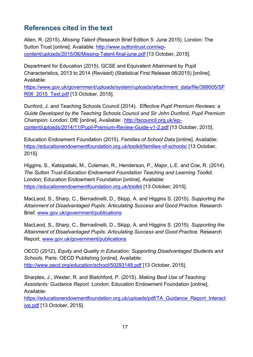# <span id="page-16-0"></span>**References cited in the text**

Allen, R. (2015). *Missing Talent* (Research Brief Edition 5: June 2015). London: The Sutton Trust [online]. Available: [http://www.suttontrust.com/wp](http://www.suttontrust.com/wp-content/uploads/2015/06/Missing-Talent-final-june.pdf)[content/uploads/2015/06/Missing-Talent-final-june.pdf](http://www.suttontrust.com/wp-content/uploads/2015/06/Missing-Talent-final-june.pdf) [13 October, 2015].

Department for Education (2015). GCSE and Equivalent Attainment by Pupil Characteristics, 2013 to 2014 (Revised) (Statistical First Release 06/2015) [online]. Available:

[https://www.gov.uk/government/uploads/system/uploads/attachment\\_data/file/399005/SF](https://www.gov.uk/government/uploads/system/uploads/attachment_data/file/399005/SFR06_2015_Text.pdf) R06 2015 Text.pdf [13 October, 2015].

Dunford, J. and Teaching Schools Council (2014). *Effective Pupil Premium Reviews: a Guide Developed by the Teaching Schools Council and Sir John Dunford, Pupil Premium Champion.* London: DfE [online]. Available: [http://tscouncil.org.uk/wp](http://tscouncil.org.uk/wp-content/uploads/2014/11/Pupil-Premium-Review-Guide-v1-2.pdf)[content/uploads/2014/11/Pupil-Premium-Review-Guide-v1-2.pdf](http://tscouncil.org.uk/wp-content/uploads/2014/11/Pupil-Premium-Review-Guide-v1-2.pdf) [13 October, 2015].

Education Endowment Foundation (2015). *Families of School Data* [online]. Available: <https://educationendowmentfoundation.org.uk/toolkit/families-of-schools/> [13 October, 2015].

Higgins, S., Katsipataki, M., Coleman, R., Henderson, P., Major, L.E. and Coe, R. (2014). *The Sutton Trust-Education Endowment Foundation Teaching and Learning Toolkit.*  London: Education Endowment Foundation [online]. Available: <https://educationendowmentfoundation.org.uk/toolkit> [13 October, 2015].

MacLeod, S., Sharp, C., Bernadinelli, D., Skipp, A. and Higgins S. (2015). *Supporting the Attainment of Disadvantaged Pupils: Articulating Success and Good Practice*. Research Brief. [www.gov.uk/government/publications](http://www.gov.uk/government/publications)

MacLeod, S., Sharp, C., Bernadinelli, D., Skipp, A. and Higgins S. (2015). *Supporting the Attainment of Disadvantaged Pupils: Articulating Success and Good Practice*. Research Report. [www.gov.uk/government/publications](http://www.gov.uk/government/publications)

OECD (2012), *Equity and Quality in Education: Supporting Disadvantaged Students and Schools.* Paris: OECD Publishing [online]. Available: <http://www.oecd.org/education/school/50293148.pdf> [13 October, 2015].

Sharples, J., Wester, R. and Blatchford, P. (2015). *Making Best Use of Teaching Assistants: Guidance Report.* London: Education Endowment Foundation [online]. Available:

[https://educationendowmentfoundation.org.uk/uploads/pdf/TA\\_Guidance\\_Report\\_Interact](https://educationendowmentfoundation.org.uk/uploads/pdf/TA_Guidance_Report_Interactive.pdf) [ive.pdf](https://educationendowmentfoundation.org.uk/uploads/pdf/TA_Guidance_Report_Interactive.pdf) [13 October, 2015].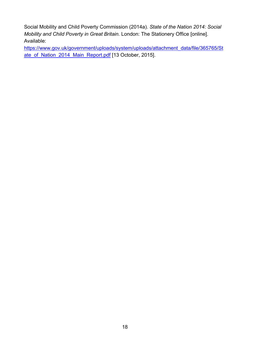Social Mobility and Child Poverty Commission (2014a). *State of the Nation 2014: Social Mobility and Child Poverty in Great Britain.* London: The Stationery Office [online]. Available:

[https://www.gov.uk/government/uploads/system/uploads/attachment\\_data/file/365765/St](https://www.gov.uk/government/uploads/system/uploads/attachment_data/file/365765/State_of_Nation_2014_Main_Report.pdf) [ate\\_of\\_Nation\\_2014\\_Main\\_Report.pdf](https://www.gov.uk/government/uploads/system/uploads/attachment_data/file/365765/State_of_Nation_2014_Main_Report.pdf) [13 October, 2015].